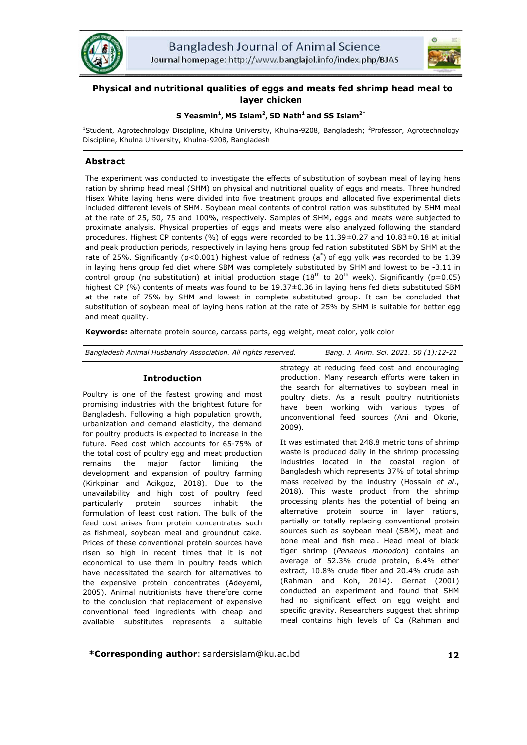



# **Physical and nutritional qualities of eggs and meats fed shrimp head meal to layer chicken**

## **S Yeasmin1 , MS Islam<sup>2</sup> , SD Nath<sup>1</sup> and SS Islam2\***

<sup>1</sup>Student, Agrotechnology Discipline, Khulna University, Khulna-9208, Bangladesh; <sup>2</sup>Professor, Agrotechnology Discipline, Khulna University, Khulna-9208, Bangladesh

## **Abstract**

The experiment was conducted to investigate the effects of substitution of soybean meal of laying hens ration by shrimp head meal (SHM) on physical and nutritional quality of eggs and meats. Three hundred Hisex White laying hens were divided into five treatment groups and allocated five experimental diets included different levels of SHM. Soybean meal contents of control ration was substituted by SHM meal at the rate of 25, 50, 75 and 100%, respectively. Samples of SHM, eggs and meats were subjected to proximate analysis. Physical properties of eggs and meats were also analyzed following the standard procedures. Highest CP contents (%) of eggs were recorded to be 11.39±0.27 and 10.83±0.18 at initial and peak production periods, respectively in laying hens group fed ration substituted SBM by SHM at the rate of 25%. Significantly (p<0.001) highest value of redness (a<sup>\*</sup>) of egg yolk was recorded to be 1.39 in laying hens group fed diet where SBM was completely substituted by SHM and lowest to be -3.11 in control group (no substitution) at initial production stage ( $18<sup>th</sup>$  to  $20<sup>th</sup>$  week). Significantly (p=0.05) highest CP (%) contents of meats was found to be 19.37±0.36 in laying hens fed diets substituted SBM at the rate of 75% by SHM and lowest in complete substituted group. It can be concluded that substitution of soybean meal of laying hens ration at the rate of 25% by SHM is suitable for better egg and meat quality.

**Keywords:** alternate protein source, carcass parts, egg weight, meat color, yolk color

*Bangladesh Animal Husbandry Association. All rights reserved. Bang. J. Anim. Sci. 2021. 50 (1):12-21*

## **Introduction**

Poultry is one of the fastest growing and most promising industries with the brightest future for Bangladesh. Following a high population growth, urbanization and demand elasticity, the demand for poultry products is expected to increase in the future. Feed cost which accounts for 65-75% of the total cost of poultry egg and meat production remains the major factor limiting the development and expansion of poultry farming (Kirkpinar and Acikgoz, 2018). Due to the unavailability and high cost of poultry feed particularly protein sources inhabit the formulation of least cost ration. The bulk of the feed cost arises from protein concentrates such as fishmeal, soybean meal and groundnut cake. Prices of these conventional protein sources have risen so high in recent times that it is not economical to use them in poultry feeds which have necessitated the search for alternatives to the expensive protein concentrates (Adeyemi, 2005). Animal nutritionists have therefore come to the conclusion that replacement of expensive conventional feed ingredients with cheap and available substitutes represents a suitable

strategy at reducing feed cost and encouraging production. Many research efforts were taken in the search for alternatives to soybean meal in poultry diets. As a result poultry nutritionists have been working with various types of unconventional feed sources (Ani and Okorie, 2009).

It was estimated that 248.8 metric tons of shrimp waste is produced daily in the shrimp processing industries located in the coastal region of Bangladesh which represents 37% of total shrimp mass received by the industry (Hossain *et al*., 2018). This waste product from the shrimp processing plants has the potential of being an alternative protein source in layer rations, partially or totally replacing conventional protein sources such as soybean meal (SBM), meat and bone meal and fish meal. Head meal of black tiger shrimp (*Penaeus monodon*) contains an average of 52.3% crude protein, 6.4% ether extract, 10.8% crude fiber and 20.4% crude ash (Rahman and Koh, 2014). Gernat (2001) conducted an experiment and found that SHM had no significant effect on egg weight and specific gravity. Researchers suggest that shrimp meal contains high levels of Ca (Rahman and

**\*Corresponding author**: sardersislam@ku.ac.bd **12**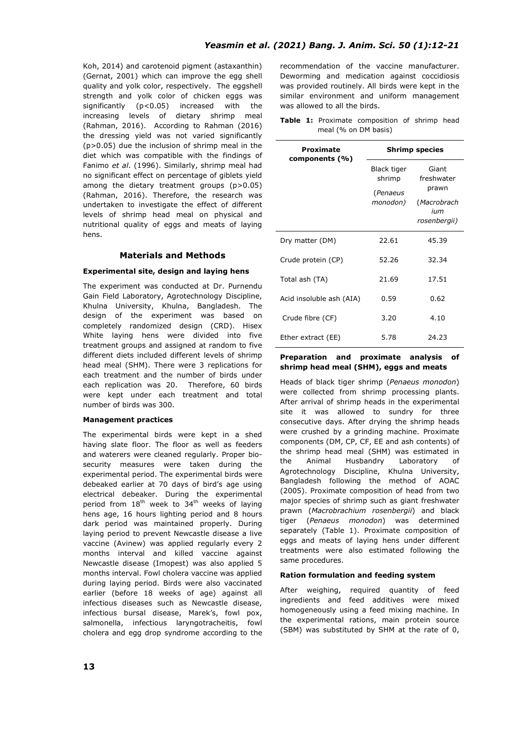Koh, 2014) and carotenoid pigment (astaxanthin) (Gernat, 2001) which can improve the egg shell quality and yolk color, respectively. The eggshell strength and yolk color of chicken eggs was significantly (p<0.05) increased with the increasing levels of dietary shrimp meal (Rahman, 2016). According to Rahman (2016) the dressing yield was not varied significantly (p>0.05) due the inclusion of shrimp meal in the diet which was compatible with the findings of Fanimo *et al*. (1996). Similarly, shrimp meal had no significant effect on percentage of giblets yield among the dietary treatment groups (p>0.05) (Rahman, 2016). Therefore, the research was undertaken to investigate the effect of different levels of shrimp head meal on physical and nutritional quality of eggs and meats of laying hens.

## **Materials and Methods**

## **Experimental site, design and laying hens**

The experiment was conducted at Dr. Purnendu Gain Field Laboratory, Agrotechnology Discipline, Khulna University, Khulna, Bangladesh. The design of the experiment was based on completely randomized design (CRD). Hisex White laying hens were divided into five treatment groups and assigned at random to five different diets included different levels of shrimp head meal (SHM). There were 3 replications for each treatment and the number of birds under each replication was 20. Therefore, 60 birds were kept under each treatment and total number of birds was 300.

### **Management practices**

The experimental birds were kept in a shed having slate floor. The floor as well as feeders and waterers were cleaned regularly. Proper biosecurity measures were taken during the experimental period. The experimental birds were debeaked earlier at 70 days of bird's age using electrical debeaker. During the experimental period from  $18<sup>th</sup>$  week to  $34<sup>th</sup>$  weeks of laying hens age, 16 hours lighting period and 8 hours dark period was maintained properly. During laying period to prevent Newcastle disease a live vaccine (Avinew) was applied regularly every 2 months interval and killed vaccine against Newcastle disease (Imopest) was also applied 5 months interval. Fowl cholera vaccine was applied during laying period. Birds were also vaccinated earlier (before 18 weeks of age) against all infectious diseases such as Newcastle disease, infectious bursal disease, Marek's, fowl pox, salmonella, infectious laryngotracheitis, fowl cholera and egg drop syndrome according to the recommendation of the vaccine manufacturer. Deworming and medication against coccidiosis was provided routinely. All birds were kept in the similar environment and uniform management was allowed to all the birds.

**Table 1:** Proximate composition of shrimp head meal (% on DM basis)

| Proximate<br>components (%) | <b>Shrimp species</b> |                     |  |  |
|-----------------------------|-----------------------|---------------------|--|--|
|                             | Black tiger<br>shrimp | Giant<br>freshwater |  |  |
|                             | (Penaeus              | prawn               |  |  |
|                             | monodon)              | (Macrobrach         |  |  |
|                             |                       | ium<br>rosenbergii) |  |  |
| Dry matter (DM)             | 22.61                 | 45.39               |  |  |
| Crude protein (CP)          | 52.26                 | 32.34               |  |  |
| Total ash (TA)              | 21.69                 | 17.51               |  |  |
| Acid insoluble ash (AIA)    | 0.59                  | 0.62                |  |  |
| Crude fibre (CF)            | 3.20                  | 4.10                |  |  |
| Ether extract (EE)          | 5.78                  | 24.23               |  |  |

#### **Preparation and proximate analysis of shrimp head meal (SHM), eggs and meats**

Heads of black tiger shrimp (*Penaeus monodon*) were collected from shrimp processing plants. After arrival of shrimp heads in the experimental site it was allowed to sundry for three consecutive days. After drying the shrimp heads were crushed by a grinding machine. Proximate components (DM, CP, CF, EE and ash contents) of the shrimp head meal (SHM) was estimated in the Animal Husbandry Laboratory of Agrotechnology Discipline, Khulna University, Bangladesh following the method of AOAC (2005). Proximate composition of head from two major species of shrimp such as giant freshwater prawn (*Macrobrachium rosenbergii*) and black tiger (*Penaeus monodon*) was determined separately (Table 1). Proximate composition of eggs and meats of laying hens under different treatments were also estimated following the same procedures.

## **Ration formulation and feeding system**

After weighing, required quantity of feed ingredients and feed additives were mixed homogeneously using a feed mixing machine. In the experimental rations, main protein source (SBM) was substituted by SHM at the rate of 0,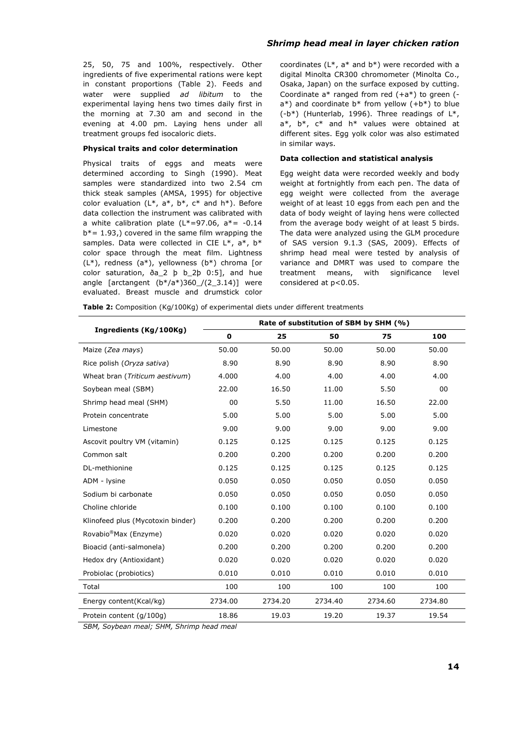## 25, 50, 75 and 100%, respectively. Other ingredients of five experimental rations were kept in constant proportions (Table 2). Feeds and water were supplied *ad libitum* to the experimental laying hens two times daily first in the morning at 7.30 am and second in the evening at 4.00 pm. Laying hens under all treatment groups fed isocaloric diets.

#### **Physical traits and color determination**

Physical traits of eggs and meats were determined according to Singh (1990). Meat samples were standardized into two 2.54 cm thick steak samples (AMSA, 1995) for objective color evaluation  $(L^*, a^*, b^*, c^*$  and  $h^*$ ). Before data collection the instrument was calibrated with a white calibration plate ( $L^*=97.06$ ,  $a^*=-0.14$  $b^*$  = 1.93,) covered in the same film wrapping the samples. Data were collected in CIE L\*, a\*, b\* color space through the meat film. Lightness (L\*), redness (a\*), yellowness (b\*) chroma [or color saturation, ða\_2 þ b\_2þ 0:5], and hue angle [arctangent  $(b*/a*)360/(2_3.14)$ ] were evaluated. Breast muscle and drumstick color coordinates (L\*, a\* and b\*) were recorded with a digital Minolta CR300 chromometer (Minolta Co., Osaka, Japan) on the surface exposed by cutting. Coordinate  $a^*$  ranged from red  $(+a^*)$  to green  $(-a^*)$  $a^*$ ) and coordinate  $b^*$  from yellow  $(+b^*)$  to blue  $(-b^*)$  (Hunterlab, 1996). Three readings of  $L^*$ ,  $a^*$ ,  $b^*$ ,  $c^*$  and  $h^*$  values were obtained at different sites. Egg yolk color was also estimated in similar ways.

#### **Data collection and statistical analysis**

Egg weight data were recorded weekly and body weight at fortnightly from each pen. The data of egg weight were collected from the average weight of at least 10 eggs from each pen and the data of body weight of laying hens were collected from the average body weight of at least 5 birds. The data were analyzed using the GLM procedure of SAS version 9.1.3 (SAS, 2009). Effects of shrimp head meal were tested by analysis of variance and DMRT was used to compare the treatment means, with significance level considered at p<0.05.

**Table 2:** Composition (Kg/100Kg) of experimental diets under different treatments

|                                   | Rate of substitution of SBM by SHM (%) |         |         |         |         |  |  |  |
|-----------------------------------|----------------------------------------|---------|---------|---------|---------|--|--|--|
| Ingredients (Kg/100Kg)            | $\mathbf 0$                            | 25      | 50      | 75      | 100     |  |  |  |
| Maize (Zea mays)                  | 50.00                                  | 50.00   | 50.00   | 50.00   | 50.00   |  |  |  |
| Rice polish (Oryza sativa)        | 8.90                                   | 8.90    | 8.90    | 8.90    | 8.90    |  |  |  |
| Wheat bran (Triticum aestivum)    | 4.000                                  | 4.00    | 4.00    | 4.00    | 4.00    |  |  |  |
| Soybean meal (SBM)                | 22.00                                  | 16.50   | 11.00   | 5.50    | 00      |  |  |  |
| Shrimp head meal (SHM)            | 00                                     | 5.50    | 11.00   | 16.50   | 22.00   |  |  |  |
| Protein concentrate               | 5.00                                   | 5.00    | 5.00    | 5.00    | 5.00    |  |  |  |
| Limestone                         | 9.00                                   | 9.00    | 9.00    | 9.00    | 9.00    |  |  |  |
| Ascovit poultry VM (vitamin)      | 0.125                                  | 0.125   | 0.125   | 0.125   | 0.125   |  |  |  |
| Common salt                       | 0.200                                  | 0.200   | 0.200   | 0.200   | 0.200   |  |  |  |
| DL-methionine                     | 0.125                                  | 0.125   | 0.125   | 0.125   | 0.125   |  |  |  |
| ADM - lysine                      | 0.050                                  | 0.050   | 0.050   | 0.050   | 0.050   |  |  |  |
| Sodium bi carbonate               | 0.050                                  | 0.050   | 0.050   | 0.050   | 0.050   |  |  |  |
| Choline chloride                  | 0.100                                  | 0.100   | 0.100   | 0.100   | 0.100   |  |  |  |
| Klinofeed plus (Mycotoxin binder) | 0.200                                  | 0.200   | 0.200   | 0.200   | 0.200   |  |  |  |
| Rovabio <sup>®</sup> Max (Enzyme) | 0.020                                  | 0.020   | 0.020   | 0.020   | 0.020   |  |  |  |
| Bioacid (anti-salmonela)          | 0.200                                  | 0.200   | 0.200   | 0.200   | 0.200   |  |  |  |
| Hedox dry (Antioxidant)           | 0.020                                  | 0.020   | 0.020   | 0.020   | 0.020   |  |  |  |
| Probiolac (probiotics)            | 0.010                                  | 0.010   | 0.010   | 0.010   | 0.010   |  |  |  |
| Total                             | 100                                    | 100     | 100     | 100     | 100     |  |  |  |
| Energy content(Kcal/kg)           | 2734.00                                | 2734.20 | 2734.40 | 2734.60 | 2734.80 |  |  |  |
| Protein content (g/100g)          | 18.86                                  | 19.03   | 19.20   | 19.37   | 19.54   |  |  |  |

*SBM, Soybean meal; SHM, Shrimp head meal* 

## *Shrimp head meal in layer chicken ration*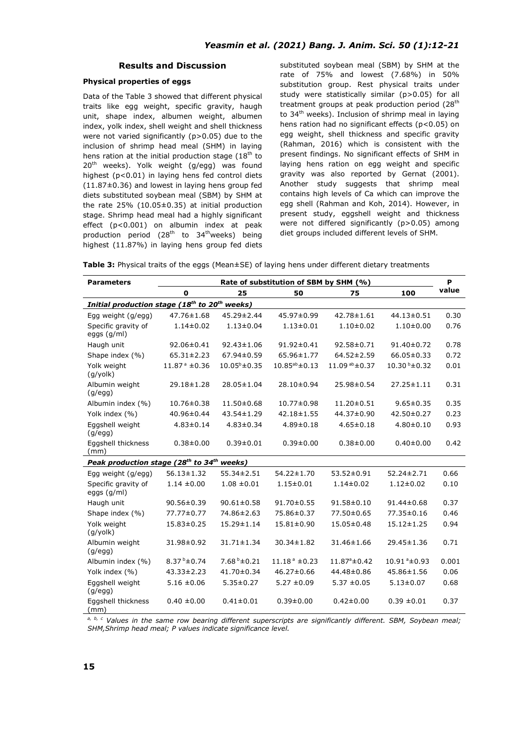## **Results and Discussion**

## **Physical properties of eggs**

Data of the Table 3 showed that different physical traits like egg weight, specific gravity, haugh unit, shape index, albumen weight, albumen index, yolk index, shell weight and shell thickness were not varied significantly (p>0.05) due to the inclusion of shrimp head meal (SHM) in laying hens ration at the initial production stage  $(18<sup>th</sup>$  to  $20<sup>th</sup>$  weeks). Yolk weight (g/egg) was found highest (p<0.01) in laying hens fed control diets (11.87±0.36) and lowest in laying hens group fed diets substituted soybean meal (SBM) by SHM at the rate 25% (10.05±0.35) at initial production stage. Shrimp head meal had a highly significant effect (p<0.001) on albumin index at peak production period  $(28<sup>th</sup>$  to  $34<sup>th</sup>$ weeks) being highest (11.87%) in laying hens group fed diets substituted soybean meal (SBM) by SHM at the rate of 75% and lowest (7.68%) in 50% substitution group. Rest physical traits under study were statistically similar (p>0.05) for all treatment groups at peak production period  $(28<sup>th</sup>)$ to 34<sup>th</sup> weeks). Inclusion of shrimp meal in laying hens ration had no significant effects (p<0.05) on egg weight, shell thickness and specific gravity (Rahman, 2016) which is consistent with the present findings. No significant effects of SHM in laying hens ration on egg weight and specific gravity was also reported by Gernat (2001). Another study suggests that shrimp meal contains high levels of Ca which can improve the egg shell (Rahman and Koh, 2014). However, in present study, eggshell weight and thickness were not differed significantly (p>0.05) among diet groups included different levels of SHM.

**Table 3:** Physical traits of the eggs (Mean±SE) of laying hens under different dietary treatments

| <b>Parameters</b>                                                     |                         |                          | Rate of substitution of SBM by SHM (%) |                          |                                 | P     |
|-----------------------------------------------------------------------|-------------------------|--------------------------|----------------------------------------|--------------------------|---------------------------------|-------|
|                                                                       | $\mathbf{o}$            | 25                       | 50                                     | 75                       | 100                             | value |
| Initial production stage (18 <sup>th</sup> to 20 <sup>th</sup> weeks) |                         |                          |                                        |                          |                                 |       |
| Egg weight (g/egg)                                                    | 47.76±1.68              | 45.29±2.44               | 45.97±0.99                             | 42.78±1.61               | 44.13±0.51                      | 0.30  |
| Specific gravity of<br>eggs (g/ml)                                    | $1.14 \pm 0.02$         | $1.13 \pm 0.04$          | $1.13 \pm 0.01$                        | $1.10 \pm 0.02$          | $1.10 \pm 0.00$                 | 0.76  |
| Haugh unit                                                            | 92.06±0.41              | $92.43 \pm 1.06$         | 91.92±0.41                             | 92.58±0.71               | 91.40±0.72                      | 0.78  |
| Shape index (%)                                                       | $65.31 \pm 2.23$        | 67.94±0.59               | 65.96±1.77                             | $64.52 \pm 2.59$         | $66.05 \pm 0.33$                | 0.72  |
| Yolk weight<br>$(q/y$ olk)                                            | $11.87^{\degree}$ ±0.36 | $10.05^{\circ} \pm 0.35$ | $10.85^{ab} \pm 0.13$                  | 11.09 ab ±0.37           | $10.30^{b} \pm 0.32$            | 0.01  |
| Albumin weight<br>(q/eqq)                                             | 29.18±1.28              | 28.05±1.04               | 28.10±0.94                             | 25.98±0.54               | 27.25 ± 1.11                    | 0.31  |
| Albumin index (%)                                                     | 10.76±0.38              | 11.50±0.68               | $10.77 \pm 0.98$                       | $11.20 \pm 0.51$         | $9.65 \pm 0.35$                 | 0.35  |
| Yolk index (%)                                                        | 40.96±0.44              | $43.54 \pm 1.29$         | $42.18 \pm 1.55$                       | 44.37±0.90               | 42.50±0.27                      | 0.23  |
| Eggshell weight<br>(q/eqq)                                            | $4.83 \pm 0.14$         | $4.83 \pm 0.34$          | $4.89 \pm 0.18$                        | $4.65 \pm 0.18$          | $4.80 \pm 0.10$                 | 0.93  |
| Eggshell thickness<br>(mm)                                            | $0.38 + 0.00$           | $0.39 + 0.01$            | $0.39 \pm 0.00$                        | $0.38 + 0.00$            | $0.40 \pm 0.00$                 | 0.42  |
| Peak production stage (28 <sup>th</sup> to 34 <sup>th</sup> weeks)    |                         |                          |                                        |                          |                                 |       |
| Egg weight (g/egg)                                                    | $56.13 \pm 1.32$        | 55.34±2.51               | 54.22±1.70                             | 53.52±0.91               | $52.24 \pm 2.71$                | 0.66  |
| Specific gravity of<br>eggs $(g/ml)$                                  | $1.14 \pm 0.00$         | $1.08 \pm 0.01$          | $1.15 \pm 0.01$                        | $1.14 \pm 0.02$          | $1.12 \pm 0.02$                 | 0.10  |
| Haugh unit                                                            | 90.56±0.39              | $90.61 \pm 0.58$         | $91.70 \pm 0.55$                       | $91.58 \pm 0.10$         | 91.44±0.68                      | 0.37  |
| Shape index (%)                                                       | 77.77±0.77              | 74.86±2.63               | 75.86±0.37                             | 77.50±0.65               | 77.35±0.16                      | 0.46  |
| Yolk weight<br>$(g/y$ olk)                                            | $15.83 \pm 0.25$        | 15.29±1.14               | $15.81 \pm 0.90$                       | $15.05 \pm 0.48$         | $15.12 \pm 1.25$                | 0.94  |
| Albumin weight<br>(q/eqq)                                             | 31.98±0.92              | 31.71±1.34               | $30.34 \pm 1.82$                       | 31.46±1.66               | 29.45 ± 1.36                    | 0.71  |
| Albumin index (%)                                                     | $8.37^{b} \pm 0.74$     | $7.68b \pm 0.21$         | $11.18^a \pm 0.23$                     | $11.87^{\circ} \pm 0.42$ | $10.91$ <sup>a</sup> $\pm$ 0.93 | 0.001 |
| Yolk index (%)                                                        | $43.33 \pm 2.23$        | 41.70±0.34               | $46.27 \pm 0.66$                       | 44.48±0.86               | 45.86±1.56                      | 0.06  |
| Eggshell weight<br>(q/eqq)                                            | $5.16 \pm 0.06$         | $5.35 \pm 0.27$          | $5.27 \pm 0.09$                        | $5.37 \pm 0.05$          | $5.13 \pm 0.07$                 | 0.68  |
| Eggshell thickness<br>(mm)                                            | $0.40 \pm 0.00$         | $0.41 \pm 0.01$          | $0.39 + 0.00$                          | $0.42 \pm 0.00$          | $0.39 \pm 0.01$                 | 0.37  |

*a, b, c Values in the same row bearing different superscripts are significantly different. SBM, Soybean meal; SHM,Shrimp head meal; P values indicate significance level.*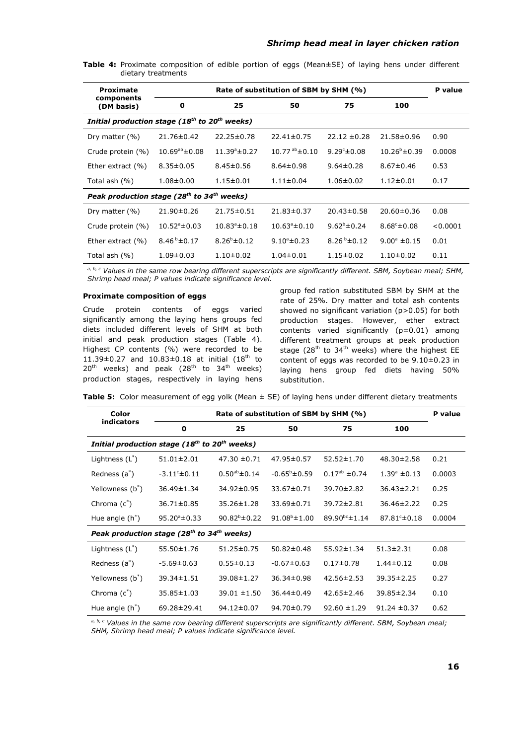| Proximate                                                             | Rate of substitution of SBM by SHM (%) |                          |                          |                     |                         |          |  |  |
|-----------------------------------------------------------------------|----------------------------------------|--------------------------|--------------------------|---------------------|-------------------------|----------|--|--|
| components<br>(DM basis)                                              | 0                                      | 25                       | 50                       | 75                  | 100                     |          |  |  |
| Initial production stage (18 <sup>th</sup> to 20 <sup>th</sup> weeks) |                                        |                          |                          |                     |                         |          |  |  |
| Dry matter $(% )$                                                     | $21.76 \pm 0.42$                       | $22.25 \pm 0.78$         | $22.41 \pm 0.75$         | $22.12 \pm 0.28$    | 21.58±0.96              | 0.90     |  |  |
| Crude protein (%)                                                     | $10.69^{ab} \pm 0.08$                  | $11.39^{\circ} \pm 0.27$ | $10.77^{ab}$ ± 0.10      | 9.29 $\pm$ 0.08     | $10.26^{b} \pm 0.39$    | 0.0008   |  |  |
| Ether extract $(\% )$                                                 | $8.35 \pm 0.05$                        | $8.45 \pm 0.56$          | $8.64 \pm 0.98$          | $9.64 \pm 0.28$     | $8.67 \pm 0.46$         | 0.53     |  |  |
| Total ash $(\% )$                                                     | $1.08 \pm 0.00$                        | $1.15 \pm 0.01$          | $1.11 \pm 0.04$          | $1.06 \pm 0.02$     | $1.12 \pm 0.01$         | 0.17     |  |  |
| Peak production stage (28 <sup>th</sup> to 34 <sup>th</sup> weeks)    |                                        |                          |                          |                     |                         |          |  |  |
| Dry matter $(% )$                                                     | $21.90 \pm 0.26$                       | 21.75±0.51               | $21.83 \pm 0.37$         | 20.43±0.58          | $20.60 \pm 0.36$        | 0.08     |  |  |
| Crude protein (%)                                                     | $10.52^{\circ} \pm 0.03$               | $10.83^{\circ} \pm 0.18$ | $10.63^{\circ} \pm 0.10$ | $9.62^b \pm 0.24$   | $8.68^{\circ} \pm 0.08$ | < 0.0001 |  |  |
| Ether extract $(% )$                                                  | $8.46^{b} \pm 0.17$                    | $8.26^{b} \pm 0.12$      | $9.10^{\circ} \pm 0.23$  | 8.26 $b_{\pm}$ 0.12 | $9.00^{\circ}$ ±0.15    | 0.01     |  |  |
| Total ash (%)                                                         | $1.09 \pm 0.03$                        | $1.10\pm0.02$            | $1.04 \pm 0.01$          | $1.15 \pm 0.02$     | $1.10\pm0.02$           | 0.11     |  |  |

Table 4: Proximate composition of edible portion of eggs (Mean±SE) of laying hens under different dietary treatments

*a, b, c Values in the same row bearing different superscripts are significantly different. SBM, Soybean meal; SHM, Shrimp head meal; P values indicate significance level.*

#### **Proximate composition of eggs**

Crude protein contents of eggs varied significantly among the laying hens groups fed diets included different levels of SHM at both initial and peak production stages (Table 4). Highest CP contents (%) were recorded to be 11.39 $\pm$ 0.27 and 10.83 $\pm$ 0.18 at initial (18<sup>th</sup> to  $20^{th}$  weeks) and peak (28<sup>th</sup> to 34<sup>th</sup> weeks) production stages, respectively in laying hens

group fed ration substituted SBM by SHM at the rate of 25%. Dry matter and total ash contents showed no significant variation (p>0.05) for both production stages. However, ether extract contents varied significantly (p=0.01) among different treatment groups at peak production stage (28<sup>th</sup> to 34<sup>th</sup> weeks) where the highest EE content of eggs was recorded to be 9.10±0.23 in laying hens group fed diets having 50% substitution.

Table 5: Color measurement of egg yolk (Mean  $\pm$  SE) of laying hens under different dietary treatments

| Color                                                                 | Rate of substitution of SBM by SHM (%) |                      |                          |                       |                          |        |  |
|-----------------------------------------------------------------------|----------------------------------------|----------------------|--------------------------|-----------------------|--------------------------|--------|--|
| <b>indicators</b>                                                     | $\mathbf 0$                            | 25                   | 50                       | 75                    | 100                      |        |  |
| Initial production stage (18 <sup>th</sup> to 20 <sup>th</sup> weeks) |                                        |                      |                          |                       |                          |        |  |
| Lightness $(L^*)$                                                     | $51.01 \pm 2.01$                       | $47.30 \pm 0.71$     | 47.95±0.57               | $52.52 \pm 1.70$      | $48.30 \pm 2.58$         | 0.21   |  |
| Redness (a <sup>*</sup> )                                             | $-3.11^{\circ} \pm 0.11$               | $0.50^{ab} \pm 0.14$ | $-0.65^{\circ} \pm 0.59$ | $0.17^{ab} \pm 0.74$  | $1.39^{\circ} \pm 0.13$  | 0.0003 |  |
| Yellowness (b <sup>*</sup> )                                          | $36.49 \pm 1.34$                       | $34.92 \pm 0.95$     | 33.67±0.71               | 39.70±2.82            | $36.43 \pm 2.21$         | 0.25   |  |
| Chroma $(c^*)$                                                        | $36.71 \pm 0.85$                       | $35.26 \pm 1.28$     | 33.69±0.71               | 39.72±2.81            | $36.46 \pm 2.22$         | 0.25   |  |
| Hue angle $(h^*)$                                                     | $95.20^{\circ} \pm 0.33$               | $90.82^{b} \pm 0.22$ | $91.08^{\circ} \pm 1.00$ | $89.90^{bc} \pm 1.14$ | $87.81^{\circ} \pm 0.18$ | 0.0004 |  |
| Peak production stage (28 <sup>th</sup> to 34 <sup>th</sup> weeks)    |                                        |                      |                          |                       |                          |        |  |
| Lightness $(L^*)$                                                     | $55.50 \pm 1.76$                       | 51.25±0.75           | $50.82 \pm 0.48$         | $55.92 \pm 1.34$      | $51.3 \pm 2.31$          | 0.08   |  |
| Redness (a <sup>*</sup> )                                             | $-5.69 \pm 0.63$                       | $0.55 \pm 0.13$      | $-0.67 \pm 0.63$         | $0.17 \pm 0.78$       | $1.44 \pm 0.12$          | 0.08   |  |
| Yellowness (b*)                                                       | $39.34 \pm 1.51$                       | 39.08±1.27           | $36.34 \pm 0.98$         | $42.56 \pm 2.53$      | $39.35 \pm 2.25$         | 0.27   |  |
| Chroma $(c^*)$                                                        | 35.85 ± 1.03                           | $39.01 \pm 1.50$     | $36.44 \pm 0.49$         | $42.65 \pm 2.46$      | 39.85±2.34               | 0.10   |  |
| Hue angle $(h^*)$                                                     | 69.28±29.41                            | $94.12 \pm 0.07$     | $94.70 \pm 0.79$         | $92.60 \pm 1.29$      | $91.24 \pm 0.37$         | 0.62   |  |

*a, b, c Values in the same row bearing different superscripts are significantly different. SBM, Soybean meal; SHM, Shrimp head meal; P values indicate significance level.*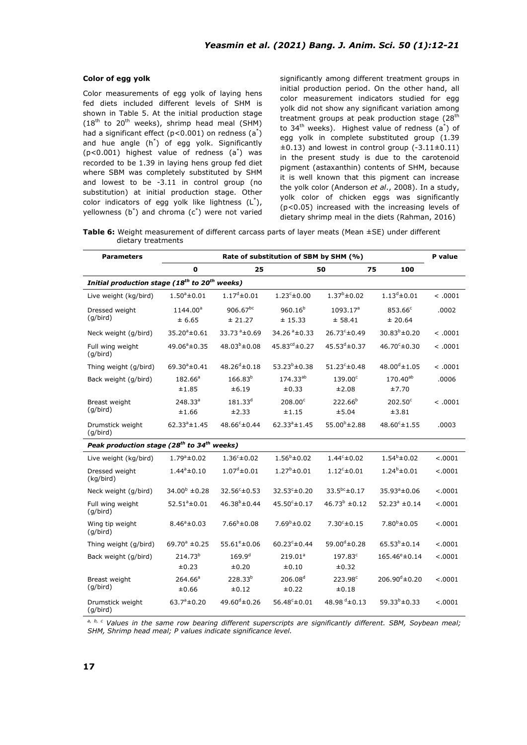#### **Color of egg yolk**

Color measurements of egg yolk of laying hens fed diets included different levels of SHM is shown in Table 5. At the initial production stage  $(18<sup>th</sup>$  to  $20<sup>th</sup>$  weeks), shrimp head meal (SHM) had a significant effect ( $p < 0.001$ ) on redness (a<sup>\*</sup>) and hue angle (h\* ) of egg yolk. Significantly (p<0.001) highest value of redness (a\* ) was recorded to be 1.39 in laying hens group fed diet where SBM was completely substituted by SHM and lowest to be -3.11 in control group (no substitution) at initial production stage. Other color indicators of egg yolk like lightness  $(L^*)$ , yellowness (b\* ) and chroma (c\* ) were not varied significantly among different treatment groups in initial production period. On the other hand, all color measurement indicators studied for egg yolk did not show any significant variation among treatment groups at peak production stage (28<sup>th</sup> to 34<sup>th</sup> weeks). Highest value of redness  $(a^*)$  of egg yolk in complete substituted group (1.39  $\pm 0.13$ ) and lowest in control group (-3.11 $\pm 0.11$ ) in the present study is due to the carotenoid pigment (astaxanthin) contents of SHM, because it is well known that this pigment can increase the yolk color (Anderson *et al*., 2008). In a study, yolk color of chicken eggs was significantly (p<0.05) increased with the increasing levels of dietary shrimp meal in the diets (Rahman, 2016)

**Table 6:** Weight measurement of different carcass parts of layer meats (Mean ±SE) under different dietary treatments

| <b>Parameters</b>                                                  | Rate of substitution of SBM by SHM (%) |                              |                                   |                                 |                             |          |  |
|--------------------------------------------------------------------|----------------------------------------|------------------------------|-----------------------------------|---------------------------------|-----------------------------|----------|--|
|                                                                    | $\mathbf 0$                            | 25                           |                                   | 50                              | 75<br>100                   |          |  |
| Initial production stage (18 <sup>th</sup> to 20 <sup>th</sup>     |                                        | weeks)                       |                                   |                                 |                             |          |  |
| Live weight (kg/bird)                                              | $1.50^{\circ}$ ±0.01                   | $1.17^{\text{d}} \pm 0.01$   | $1.23^c \pm 0.00$                 | $1.37^b \pm 0.02$               | $1.13^{d}$ ±0.01            | < .0001  |  |
| Dressed weight<br>(q/bird)                                         | 1144.00 <sup>a</sup><br>± 6.65         | $906.67^{bc}$<br>± 21.27     | $960.16^{b}$<br>± 15.33           | 1093.17 <sup>a</sup><br>± 58.41 | $853.66^{\circ}$<br>± 20.64 | .0002    |  |
| Neck weight (g/bird)                                               | $35.20^{\circ} \pm 0.61$               | 33.73 $^a$ ±0.69             | 34.26 $a$ <sup>a</sup> $\pm$ 0.33 | $26.73^{\circ} \pm 0.49$        | $30.83^{b} \pm 0.20$        | < .0001  |  |
| Full wing weight<br>(g/bird)                                       | $49.06^{\circ} \pm 0.35$               | $48.03^{b} \pm 0.08$         | 45.83 $^{cd}$ ±0.27               | $45.53^{d} \pm 0.37$            | 46.70 $c$ ±0.30             | < .0001  |  |
| Thing weight (g/bird)                                              | 69.30 $a$ <sup>+</sup> 0.41            | $48.26^{\text{d}} \pm 0.18$  | $53.23^{b} \pm 0.38$              | $51.23^{\circ} \pm 0.48$        | $48.00^{d} \pm 1.05$        | < .0001  |  |
| Back weight (g/bird)                                               | $182.66^a$                             | $166.83^{b}$                 | 174.33 <sup>ab</sup>              | 139.00°                         | 170.40 <sup>ab</sup>        | .0006    |  |
|                                                                    | ±1.85                                  | ±6.19                        | ±0.33                             | ±2.08                           | ±7.70                       |          |  |
| Breast weight                                                      | 248.33 <sup>a</sup>                    | $181.33^{d}$                 | $208.00^{\circ}$                  | $222.66^{b}$                    | $202.50^\circ$              | < .0001  |  |
| (q/bird)                                                           | ±1.66                                  | ±2.33                        | ±1.15                             | ±5.04                           | ±3.81                       |          |  |
| Drumstick weight<br>(q/bird)                                       | $62.33^{a} \pm 1.45$                   | $48.66^{\circ} \pm 0.44$     | $62.33^{\circ} \pm 1.45$          | $55.00^{b} \pm 2.88$            | $48.60^{\circ} \pm 1.55$    | .0003    |  |
| Peak production stage (28 <sup>th</sup> to 34 <sup>th</sup> weeks) |                                        |                              |                                   |                                 |                             |          |  |
| Live weight (kg/bird)                                              | $1.79^{\circ}$ ±0.02                   | $1.36^c \pm 0.02$            | $1.56^b \pm 0.02$                 | $1.44^c \pm 0.02$               | $1.54^b \pm 0.02$           | < .0001  |  |
| Dressed weight<br>(kg/bird)                                        | $1.44^a \pm 0.10$                      | $1.07^d \pm 0.01$            | $1.27^b \pm 0.01$                 | $1.12^c \pm 0.01$               | $1.24^b \pm 0.01$           | < .0001  |  |
| Neck weight (g/bird)                                               | $34.00^{b} \pm 0.28$                   | $32.56^c \pm 0.53$           | $32.53^c \pm 0.20$                | $33.5^{bc} \pm 0.17$            | $35.93^{\circ} \pm 0.06$    | < .0001  |  |
| Full wing weight<br>(q/bird)                                       | $52.51^a \pm 0.01$                     | $46.38^{b} \pm 0.44$         | $45.50^{\circ} \pm 0.17$          | $46.73^{b} \pm 0.12$            | $52.23^a \pm 0.14$          | $-.0001$ |  |
| Wing tip weight<br>(q/bird)                                        | $8.46^a \pm 0.03$                      | $7.66^b \pm 0.08$            | $7.69^b \pm 0.02$                 | $7.30^{\circ} \pm 0.15$         | $7.80^{b} \pm 0.05$         | < .0001  |  |
| Thing weight (g/bird)                                              | 69.70 $a$ ±0.25                        | $55.61^{\circ} \pm 0.06$     | 60.23 $c$ ±0.44                   | $59.00^d \pm 0.28$              | $65.53^{b} \pm 0.14$        | < .0001  |  |
| Back weight (g/bird)                                               | $214.73^{b}$<br>±0.23                  | $169.9^{d}$<br>$\pm 0.20$    | 219.01 <sup>a</sup><br>±0.10      | $197.83^{\circ}$<br>±0.32       | $165.46^e \pm 0.14$         | < .0001  |  |
| Breast weight<br>(q/bird)                                          | $264.66^a$<br>±0.66                    | 228.33 <sup>b</sup><br>±0.12 | 206.08 <sup>d</sup><br>±0.22      | $223.98^{\circ}$<br>±0.18       | $206.90^{\circ} \pm 0.20$   | < .0001  |  |
| Drumstick weight<br>(q/bird)                                       | $63.7^a \pm 0.20$                      | $49.60^{d} \pm 0.26$         | $56.48^c \pm 0.01$                | 48.98 $^d$ ±0.13                | $59.33^{b} \pm 0.33$        | < .0001  |  |

*a, b, c Values in the same row bearing different superscripts are significantly different. SBM, Soybean meal; SHM, Shrimp head meal; P values indicate significance level.*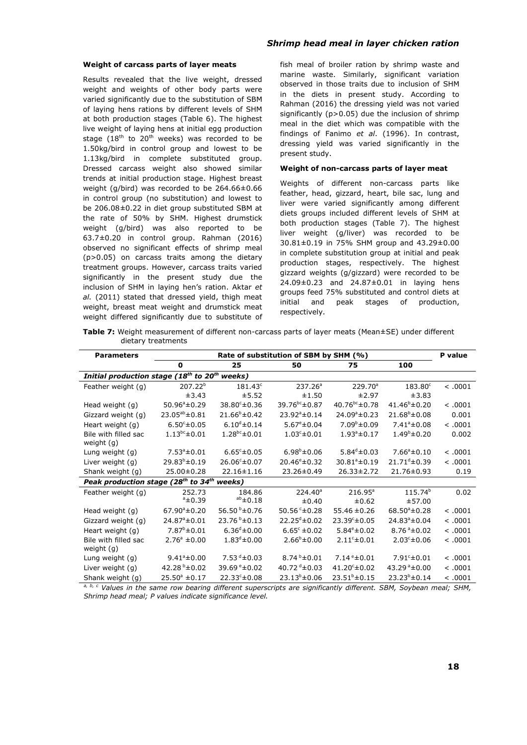#### **Weight of carcass parts of layer meats**

Results revealed that the live weight, dressed weight and weights of other body parts were varied significantly due to the substitution of SBM of laying hens rations by different levels of SHM at both production stages (Table 6). The highest live weight of laying hens at initial egg production stage ( $18<sup>th</sup>$  to  $20<sup>th</sup>$  weeks) was recorded to be 1.50kg/bird in control group and lowest to be 1.13kg/bird in complete substituted group. Dressed carcass weight also showed similar trends at initial production stage. Highest breast weight (g/bird) was recorded to be 264.66±0.66 in control group (no substitution) and lowest to be 206.08±0.22 in diet group substituted SBM at the rate of 50% by SHM. Highest drumstick weight (g/bird) was also reported to be 63.7±0.20 in control group. Rahman (2016) observed no significant effects of shrimp meal (p>0.05) on carcass traits among the dietary treatment groups. However, carcass traits varied significantly in the present study due the inclusion of SHM in laying hen's ration. Aktar *et al.* (2011) stated that dressed yield, thigh meat weight, breast meat weight and drumstick meat weight differed significantly due to substitute of

## *Shrimp head meal in layer chicken ration*

fish meal of broiler ration by shrimp waste and marine waste. Similarly, significant variation observed in those traits due to inclusion of SHM in the diets in present study. According to Rahman (2016) the dressing yield was not varied significantly (p>0.05) due the inclusion of shrimp meal in the diet which was compatible with the findings of Fanimo *et al*. (1996). In contrast, dressing yield was varied significantly in the present study.

#### **Weight of non-carcass parts of layer meat**

Weights of different non-carcass parts like feather, head, gizzard, heart, bile sac, lung and liver were varied significantly among different diets groups included different levels of SHM at both production stages (Table 7). The highest liver weight (g/liver) was recorded to be 30.81±0.19 in 75% SHM group and 43.29±0.00 in complete substitution group at initial and peak production stages, respectively. The highest gizzard weights (g/gizzard) were recorded to be 24.09±0.23 and 24.87±0.01 in laying hens groups feed 75% substituted and control diets at initial and peak stages of production, respectively.

**Table 7:** Weight measurement of different non-carcass parts of layer meats (Mean±SE) under different dietary treatments

| <b>Parameters</b>                                              | Rate of substitution of SBM by SHM (%) |                          |                                  |                          |                          |         |
|----------------------------------------------------------------|----------------------------------------|--------------------------|----------------------------------|--------------------------|--------------------------|---------|
|                                                                | O                                      | 25                       | 50                               | 75                       | 100                      |         |
| Initial production stage (18 <sup>th</sup> to 20 <sup>th</sup> |                                        | weeks)                   |                                  |                          |                          |         |
| Feather weight (g)                                             | $207.22^{b}$                           | $181.43^c$               | 237.26 <sup>a</sup>              | 229.70 <sup>a</sup>      | $183.80^\circ$           | < .0001 |
|                                                                | ±3.43                                  | ±5.52                    | ±1.50                            | ±2.97                    | ±3.83                    |         |
| Head weight (g)                                                | $50.96^{\circ} \pm 0.29$               | 38.80 <sup>c</sup> ±0.36 | 39.76 <sup>bc</sup> ±0.87        | $40.76^{bc} \pm 0.78$    | $41.46^{\circ} \pm 0.20$ | < .0001 |
| Gizzard weight (g)                                             | $23.05^{ab} \pm 0.81$                  | $21.66^{\circ} \pm 0.42$ | $23.92^a \pm 0.14$               | $24.09^{\circ} \pm 0.23$ | $21.68^b \pm 0.08$       | 0.001   |
| Heart weight (g)                                               | $6.50^{\circ}$ ±0.05                   | $6.10^{d} \pm 0.14$      | $5.67^{\circ} \pm 0.04$          | $7.09^{\circ} \pm 0.09$  | $7.41^a \pm 0.08$        | < .0001 |
| Bile with filled sac                                           | $1.13^{bc} \pm 0.01$                   | $1.28^{bc} \pm 0.01$     | $1.03^{\circ} \pm 0.01$          | $1.93^{\circ} \pm 0.17$  | $1.49^{\circ} \pm 0.20$  | 0.002   |
| weight (g)                                                     |                                        |                          |                                  |                          |                          |         |
| Lung weight (g)                                                | $7.53^{\circ} \pm 0.01$                | $6.65^{\circ} \pm 0.05$  | $6.98^{\circ}$ ±0.06             | $5.84^{d} \pm 0.03$      | $7.66^a \pm 0.10$        | < .0001 |
| Liver weight (g)                                               | $29.83^b \pm 0.19$                     | $26.06^{\circ} \pm 0.07$ | $20.46^{\circ} \pm 0.32$         | $30.81^{\circ} \pm 0.19$ | $21.71^{\circ} \pm 0.39$ | < .0001 |
| Shank weight (g)                                               | 25.00±0.28                             | 22.16±1.16               | 23.26±0.49                       | $26.33 \pm 2.72$         | 21.76±0.93               | 0.19    |
| Peak production stage (28 <sup>th</sup> to 34 <sup>th</sup>    |                                        | weeks)                   |                                  |                          |                          |         |
| Feather weight (g)                                             | 252.73                                 | 184.86                   | $224.40^a$                       | $216.95^a$               | $115.74^{b}$             | 0.02    |
|                                                                | $^a$ ±0.39                             | $ab \pm 0.18$            | ±0.40                            | ±0.62                    | ±57.00                   |         |
| Head weight (g)                                                | $67.90^{\circ} \pm 0.20$               | 56.50 b ± 0.76           | 50.56 $\textdegree \pm 0.28$     | $55.46 \pm 0.26$         | $68.50^{\circ}$ ± 0.28   | < .0001 |
| Gizzard weight (g)                                             | 24.87 <sup>a</sup> ±0.01               | $23.76^{b} \pm 0.13$     | $22.25^{\circ} \pm 0.02$         | $23.39^{\circ} \pm 0.05$ | $24.83^a \pm 0.04$       | < .0001 |
| Heart weight (g)                                               | $7.87^{\circ}$ ±0.01                   | $6.36^{d} \pm 0.00$      | $6.65^{\circ} \pm 0.02$          | $5.84^{\circ} \pm 0.02$  | $8.76^{\degree}\pm0.02$  | < .0001 |
| Bile with filled sac                                           | $2.76^{\circ} \pm 0.00$                | $1.83^d \pm 0.00$        | $2.66^b \pm 0.00$                | $2.11^{\circ} \pm 0.01$  | $2.03^{\circ} \pm 0.06$  | < .0001 |
| weight (g)                                                     |                                        |                          |                                  |                          |                          |         |
| Lung weight (g)                                                | $9.41^{\circ} \pm 0.00$                | 7.53 $d$ ±0.03           | $8.74\text{ }^{\text{b}}\pm0.01$ | $7.14e+0.01$             | $7.91^{\circ} \pm 0.01$  | < .0001 |
| Liver weight (g)                                               | 42.28 $b$ ±0.02                        | 39.69 $e$ ±0.02          | 40.72 $40.03$                    | $41.20^{\circ} \pm 0.02$ | 43.29 $^a$ ±0.00         | < .0001 |
| Shank weight (g)                                               | $25.50^{\circ} \pm 0.17$               | $22.33^{c} \pm 0.08$     | $23.13^b \pm 0.06$               | $23.51^b \pm 0.15$       | $23.23^{b} \pm 0.14$     | < .0001 |

*a, b, c Values in the same row bearing different superscripts are significantly different. SBM, Soybean meal; SHM, Shrimp head meal; P values indicate significance level.*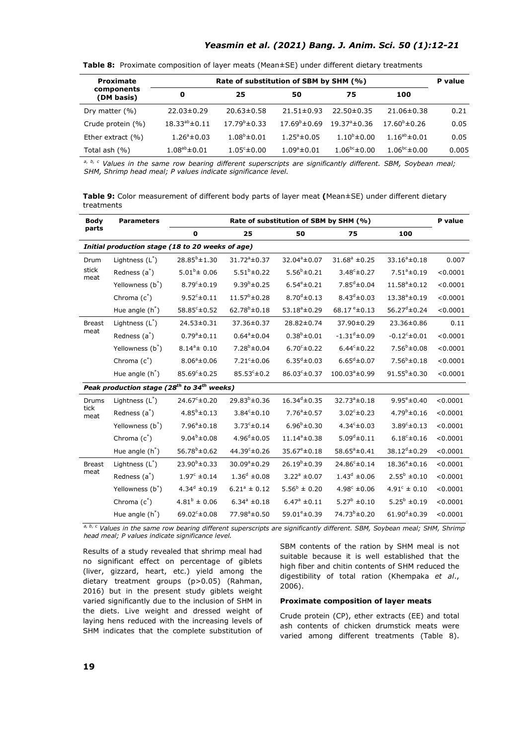## *Yeasmin et al. (2021) Bang. J. Anim. Sci. 50 (1):12-21*

| <b>Proximate</b>         | Rate of substitution of SBM by SHM (%) |                         |                          |                          |                       |       |  |
|--------------------------|----------------------------------------|-------------------------|--------------------------|--------------------------|-----------------------|-------|--|
| components<br>(DM basis) | 0                                      | 25                      | 50                       | 75                       | 100                   |       |  |
| Dry matter (%)           | $22.03 \pm 0.29$                       | $20.63 \pm 0.58$        | $21.51 \pm 0.93$         | $22.50 \pm 0.35$         | $21.06 \pm 0.38$      | 0.21  |  |
| Crude protein (%)        | $18.33^{ab} \pm 0.11$                  | $17.79^{\circ}$ ±0.33   | $17.69^{\circ} \pm 0.69$ | $19.37^{\circ} \pm 0.36$ | $17.60^{\circ}$ ±0.26 | 0.05  |  |
| Ether extract $(% )$     | $1.26^a \pm 0.03$                      | $1.08^b \pm 0.01$       | $1.25^{\circ} \pm 0.05$  | $1.10^{b} \pm 0.00$      | $1.16^{ab} \pm 0.01$  | 0.05  |  |
| Total ash (%)            | $1.08^{ab} \pm 0.01$                   | $1.05^{\circ} \pm 0.00$ | $1.09^{\circ} \pm 0.01$  | $1.06^{bc} \pm 0.00$     | $1.06^{bc} \pm 0.00$  | 0.005 |  |

**Table 8:** Proximate composition of layer meats (Mean±SE) under different dietary treatments

*a, b, c Values in the same row bearing different superscripts are significantly different. SBM, Soybean meal; SHM, Shrimp head meal; P values indicate significance level.*

**Table 9:** Color measurement of different body parts of layer meat **(**Mean±SE) under different dietary treatments

| <b>Body</b>   | Rate of substitution of SBM by SHM (%)<br><b>Parameters</b>        |                          |                            |                          |                                   |                             |          |
|---------------|--------------------------------------------------------------------|--------------------------|----------------------------|--------------------------|-----------------------------------|-----------------------------|----------|
| parts         |                                                                    | 0                        | 25                         | 50                       | 75                                | 100                         |          |
|               | Initial production stage (18 to 20 weeks of age)                   |                          |                            |                          |                                   |                             |          |
| Drum          | Lightness $(L^*)$                                                  | $28.85^{b} \pm 1.30$     | $31.72^{\circ} \pm 0.37$   | 32.04 <sup>a</sup> ±0.07 | $31.68^{\circ}$ ±0.25             | $33.16^a \pm 0.18$          | 0.007    |
| stick<br>meat | Redness $(a^*)$                                                    | $5.01^b \pm 0.06$        | $5.51^b \pm 0.22$          | $5.56^b \pm 0.21$        | $3.48^{\circ} \pm 0.27$           | $7.51^a \pm 0.19$           | < 0.0001 |
|               | Yellowness (b*)                                                    | $8.79^{\circ} \pm 0.19$  | $9.39^{b} \pm 0.25$        | $6.54^e \pm 0.21$        | $7.85^{d}$ ±0.04                  | $11.58^a \pm 0.12$          | < 0.0001 |
|               | Chroma $(c^*)$                                                     | $9.52^c \pm 0.11$        | $11.57^b \pm 0.28$         | $8.70^{d} \pm 0.13$      | $8.43^{d} \pm 0.03$               | $13.38^a \pm 0.19$          | < 0.0001 |
|               | Hue angle $(h^*)$                                                  | $58.85^{\circ} \pm 0.52$ | $62.78^{b} \pm 0.18$       | $53.18^{\circ} \pm 0.29$ | 68.17 $e$ <sup>+</sup> $\pm$ 0.13 | $56.27^{\text{d}} \pm 0.24$ | < 0.0001 |
| <b>Breast</b> | Lightness $(L^*)$                                                  | 24.53±0.31               | 37.36±0.37                 | 28.82±0.74               | 37.90±0.29                        | 23.36±0.86                  | 0.11     |
| meat          | Redness (a <sup>*</sup> )                                          | $0.79^a \pm 0.11$        | $0.64^a \pm 0.04$          | $0.38^b \pm 0.01$        | $-1.31^d \pm 0.09$                | $-0.12^c \pm 0.01$          | < 0.0001 |
|               | Yellowness (b*)                                                    | $8.14^a \pm 0.10$        | $7.28^{b} \pm 0.04$        | $6.70^{\circ} \pm 0.22$  | $6.44c + 0.22$                    | $7.56^b \pm 0.08$           | < 0.0001 |
|               | Chroma $(c^*)$                                                     | $8.06^a \pm 0.06$        | $7.21^{\circ} \pm 0.06$    | $6.35^{d} \pm 0.03$      | $6.65^{\text{d}} \pm 0.07$        | $7.56^b \pm 0.18$           | < 0.0001 |
|               | Hue angle $(h^*)$                                                  | $85.69^{\circ} \pm 0.25$ | $85.53^{c} \pm 0.2$        | 86.03°±0.37              | 100.03 <sup>a</sup> ±0.99         | $91.55^{b} \pm 0.30$        | < 0.0001 |
|               | Peak production stage (28 <sup>th</sup> to 34 <sup>th</sup> weeks) |                          |                            |                          |                                   |                             |          |
| Drums         | Lightness $(L^*)$                                                  | $24.67^{\circ} \pm 0.20$ | $29.83^{b} \pm 0.36$       | $16.34^{d} \pm 0.35$     | $32.73^{\circ} \pm 0.18$          | $9.95^{\circ} \pm 0.40$     | < 0.0001 |
| tick<br>meat  | Redness $(a^*)$                                                    | $4.85^b \pm 0.13$        | $3.84^c \pm 0.10$          | $7.76^a \pm 0.57$        | $3.02^c \pm 0.23$                 | $4.79^b \pm 0.16$           | < 0.0001 |
|               | Yellowness (b*)                                                    | $7.96^a \pm 0.18$        | $3.73^{\circ} \pm 0.14$    | $6.96^{\rm b}$ ±0.30     | $4.34^{\circ} \pm 0.03$           | $3.89^{\circ} \pm 0.13$     | < 0.0001 |
|               | Chroma $(c^*)$                                                     | $9.04^b \pm 0.08$        | $4.96^{\text{d}} \pm 0.05$ | $11.14^a \pm 0.38$       | $5.09^d \pm 0.11$                 | $6.18^{c} \pm 0.16$         | < 0.0001 |
|               | Hue angle $(h^*)$                                                  | $56.78^{b} \pm 0.62$     | 44.39 $c$ ±0.26            | $35.67^e \pm 0.18$       | $58.65^a \pm 0.41$                | $38.12^{d} \pm 0.29$        | < 0.0001 |
| <b>Breast</b> | Lightness $(L^*)$                                                  | $23.90^{b} \pm 0.33$     | $30.09^a \pm 0.29$         | $26.19^{b} \pm 0.39$     | 24.86 <sup>c</sup> ±0.14          | $18.36^e \pm 0.16$          | < 0.0001 |
| meat          | Redness (a <sup>*</sup> )                                          | $1.97^{\circ}$ ±0.14     | $1.36^d \pm 0.08$          | $3.22^a \pm 0.07$        | $1.43^d \pm 0.06$                 | $2.55^b \pm 0.10$           | < 0.0001 |
|               | Yellowness (b*)                                                    | 4.34 $^{d}$ ±0.19        | $6.21^a \pm 0.12$          | $5.56^b \pm 0.20$        | 4.98 $c$ ±0.06                    | $4.91^{\circ} \pm 0.10$     | < 0.0001 |
|               | Chroma $(c^*)$                                                     | $4.81^b \pm 0.06$        | $6.34^a \pm 0.18$          | $6.47^a \pm 0.11$        | $5.27^b \pm 0.10$                 | $5.25^b \pm 0.19$           | < 0.0001 |
|               | Hue angle $(h^*)$                                                  | 69.02 $^{\circ}$ ±0.08   | $77.98^{\circ} \pm 0.50$   | 59.01 $^e$ ±0.39         | 74.73 <sup>b</sup> ±0.20          | $61.90^d \pm 0.39$          | < 0.0001 |

*a, b, c Values in the same row bearing different superscripts are significantly different. SBM, Soybean meal; SHM, Shrimp head meal; P values indicate significance level.*

Results of a study revealed that shrimp meal had no significant effect on percentage of giblets (liver, gizzard, heart, etc.) yield among the dietary treatment groups (p>0.05) (Rahman, 2016) but in the present study giblets weight varied significantly due to the inclusion of SHM in the diets. Live weight and dressed weight of laying hens reduced with the increasing levels of SHM indicates that the complete substitution of SBM contents of the ration by SHM meal is not suitable because it is well established that the high fiber and chitin contents of SHM reduced the digestibility of total ration (Khempaka *et al*., 2006).

## **Proximate composition of layer meats**

Crude protein (CP), ether extracts (EE) and total ash contents of chicken drumstick meats were varied among different treatments (Table 8).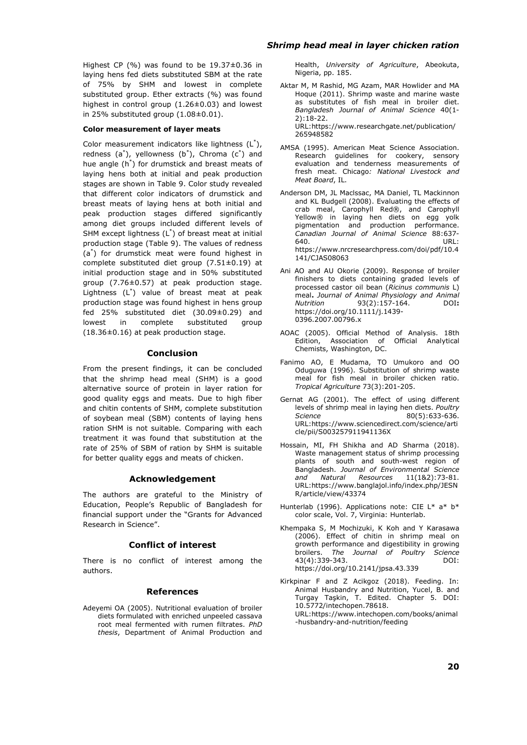Highest CP (%) was found to be 19.37±0.36 in laying hens fed diets substituted SBM at the rate of 75% by SHM and lowest in complete substituted group. Ether extracts (%) was found highest in control group  $(1.26\pm0.03)$  and lowest in 25% substituted group  $(1.08\pm0.01)$ .

#### **Color measurement of layer meats**

Color measurement indicators like lightness (L\* ), redness (a<sup>\*</sup>), yellowness (b<sup>\*</sup>), Chroma (c<sup>\*</sup>) and hue angle (h\* ) for drumstick and breast meats of laying hens both at initial and peak production stages are shown in Table 9. Color study revealed that different color indicators of drumstick and breast meats of laying hens at both initial and peak production stages differed significantly among diet groups included different levels of SHM except lightness  $(L^*)$  of breast meat at initial production stage (Table 9). The values of redness (a\* ) for drumstick meat were found highest in complete substituted diet group (7.51±0.19) at initial production stage and in 50% substituted group (7.76±0.57) at peak production stage. Lightness (L\* ) value of breast meat at peak production stage was found highest in hens group fed 25% substituted diet (30.09±0.29) and lowest in complete substituted group (18.36±0.16) at peak production stage.

## **Conclusion**

From the present findings, it can be concluded that the shrimp head meal (SHM) is a good alternative source of protein in layer ration for good quality eggs and meats. Due to high fiber and chitin contents of SHM, complete substitution of soybean meal (SBM) contents of laying hens ration SHM is not suitable. Comparing with each treatment it was found that substitution at the rate of 25% of SBM of ration by SHM is suitable for better quality eggs and meats of chicken.

#### **Acknowledgement**

The authors are grateful to the Ministry of Education, People's Republic of Bangladesh for financial support under the "Grants for Advanced Research in Science".

### **Conflict of interest**

There is no conflict of interest among the authors.

#### **References**

Adeyemi OA (2005). Nutritional evaluation of broiler diets formulated with enriched unpeeled cassava root meal fermented with rumen filtrates. *PhD thesis*, Department of Animal Production and

## *Shrimp head meal in layer chicken ration*

Health, *University of Agriculture*, Abeokuta, Nigeria, pp. 185.

- Aktar M, M Rashid, MG Azam, MAR Howlider and MA Hoque (2011). Shrimp waste and marine waste as substitutes of fish meal in broiler diet. *Bangladesh Journal of Animal Science* 40(1- 2):18-22. URL:https://www.researchgate.net/publication/ 26[5948582](https://www.researchgate.net/publication/265948582)
- A[MSA \(1995](https://www.researchgate.net/publication/265948582)). American Meat Science Association. Research guidelines for cookery, sensory evaluation and tenderness measurements of fresh meat. Chicago*: National Livestock and Meat Board*, IL.
- Anderson DM, JL Maclssac, MA Daniel, TL Mackinnon and KL Budgell (2008). Evaluating the effects of crab meal, Carophyll Red®, and Carophyll Yellow® in laying hen diets on egg yolk pigmentation and production performance. *Canadian Journal of Animal Science* 88:637- 640. URL: https://www.nrcresearchpress.com/doi/pdf/10.4 141/CJAS08063
- A[ni AO and AU Okorie \(2009\). Response](https://www.nrcresearchpress.com/doi/pdf/10.4141/CJAS08063) of broiler [finishers to](https://www.nrcresearchpress.com/doi/pdf/10.4141/CJAS08063) diets containing graded levels of processed castor oil bean (*Ricinus communis* L) meal**.** *Journal of Animal Physiology and Animal*   $93(2):157-164.$ https://doi.org/10.1111/j.1439- 0396.2007.00796.x
- A[OAC \(2005\). Official Meth](https://doi.org/10.1111/j.1439-0396.2007.00796.x)od of Analysis. 18th Edition, Association of Official Analytical [Chemists, Was](https://doi.org/10.1111/j.1439-0396.2007.00796.x)hington, DC.
- Fanimo AO, E Mudama, TO Umukoro and OO Oduguwa (1996). Substitution of shrimp waste meal for fish meal in broiler chicken ratio. *Tropical Agriculture* 73(3):201-205.
- Gernat AG (2001). The effect of using different levels of shrimp meal in laying hen diets. *Poultry Science* 80(5):633-636. URL:https://www.sciencedirect.com/science/arti cle/pii/S003257911941136X
- Hossain, MI, FH Shikha and AD Sharma (2018). Wa[ste management status of shrimp p](https://www.sciencedirect.com/science/article/pii/S003257911941136X)rocessing [plants of south and](https://www.sciencedirect.com/science/article/pii/S003257911941136X) south-west region of Bangladesh. *Journal of Environmental Science and Natural Resources* 11(1&2):73-81. URL:https://www.banglajol.info/index.php/JESN R/article/view/43374
- Hunterlab (1996). Applications note: CIE L\* a\* b\* col[or scale, Vol. 7, Virginia: Hunterlab.](https://www.banglajol.info/index.php/JESNR/article/view/43374)
- K[hempaka S, M Mo](https://www.banglajol.info/index.php/JESNR/article/view/43374)chizuki, K Koh and Y Karasawa (2006). Effect of chitin in shrimp meal on growth performance and digestibility in growing broilers. *The Journal of Poultry Science* 43(4):339-343. DOI: https://doi.org/10.2141/jpsa.43.339
- Kirkpinar F and Z Acikgoz (2018). Feeding. In: Animal Husbandry and Nutrition, Yucel, B. and Turgay Taşkin, T. Edited. Chapter 5. DOI: [10.5772/intechopen.78618.](https://doi.org/10.2141/jpsa.43.339)  URL:https://www.intechopen.com/books/animal -husbandry-and-nutrition/feeding